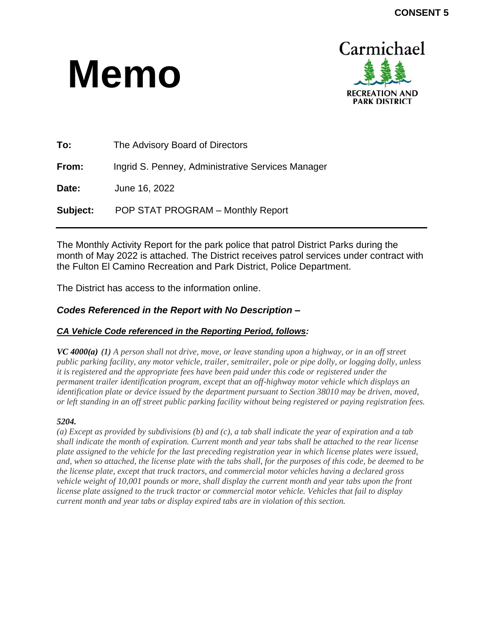# **Memo**



| To:             | The Advisory Board of Directors                   |
|-----------------|---------------------------------------------------|
| From:           | Ingrid S. Penney, Administrative Services Manager |
| Date:           | June 16, 2022                                     |
| <b>Subject:</b> | POP STAT PROGRAM - Monthly Report                 |

The Monthly Activity Report for the park police that patrol District Parks during the month of May 2022 is attached. The District receives patrol services under contract with the Fulton El Camino Recreation and Park District, Police Department.

The District has access to the information online.

### *Codes Referenced in the Report with No Description –*

#### *CA Vehicle Code referenced in the Reporting Period, follows:*

*VC 4000(a) (1) A person shall not drive, move, or leave standing upon a highway, or in an off street public parking facility, any motor vehicle, trailer, semitrailer, pole or pipe dolly, or logging dolly, unless it is registered and the appropriate fees have been paid under this code or registered under the permanent trailer identification program, except that an off-highway motor vehicle which displays an identification plate or device issued by the department pursuant to Section 38010 may be driven, moved, or left standing in an off street public parking facility without being registered or paying registration fees.*

#### *5204.*

*(a) Except as provided by subdivisions (b) and (c), a tab shall indicate the year of expiration and a tab shall indicate the month of expiration. Current month and year tabs shall be attached to the rear license plate assigned to the vehicle for the last preceding registration year in which license plates were issued, and, when so attached, the license plate with the tabs shall, for the purposes of this code, be deemed to be the license plate, except that truck tractors, and commercial motor vehicles having a declared gross vehicle weight of 10,001 pounds or more, shall display the current month and year tabs upon the front license plate assigned to the truck tractor or commercial motor vehicle. Vehicles that fail to display current month and year tabs or display expired tabs are in violation of this section.*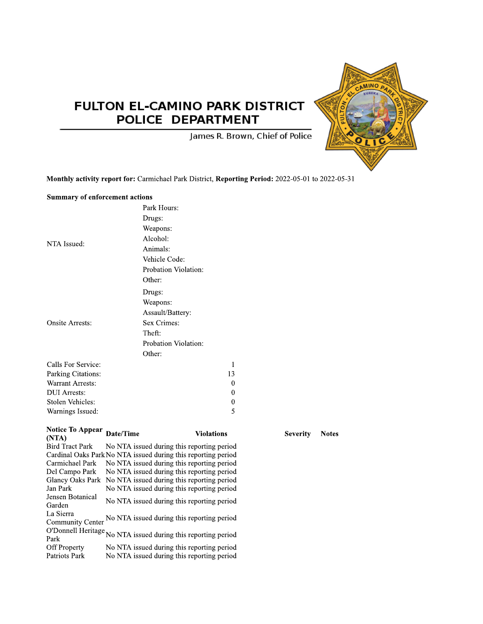## FULTON EL-CAMINO PARK DISTRICT POLICE DEPARTMENT



James R. Brown, Chief of Police

Monthly activity report for: Carmichael Park District, Reporting Period: 2022-05-01 to 2022-05-31

#### **Summary of enforcement actions**

|                                   |           | Park Hours:                                                                              |
|-----------------------------------|-----------|------------------------------------------------------------------------------------------|
|                                   |           | Drugs:                                                                                   |
|                                   |           | Weapons:                                                                                 |
|                                   |           | Alcohol:                                                                                 |
| NTA Issued:                       |           | Animals:                                                                                 |
|                                   |           | Vehicle Code:                                                                            |
|                                   |           |                                                                                          |
|                                   |           | Probation Violation:                                                                     |
|                                   |           | Other:                                                                                   |
|                                   |           | Drugs:                                                                                   |
|                                   |           | Weapons:                                                                                 |
|                                   |           | Assault/Battery:                                                                         |
| <b>Onsite Arrests:</b>            |           | Sex Crimes:                                                                              |
|                                   |           | Theft:                                                                                   |
|                                   |           | Probation Violation:                                                                     |
|                                   |           | Other:                                                                                   |
| Calls For Service:                |           | 1                                                                                        |
| Parking Citations:                |           | 13                                                                                       |
| <b>Warrant Arrests:</b>           |           | 0                                                                                        |
| <b>DUI</b> Arrests:               |           | $\theta$                                                                                 |
| <b>Stolen Vehicles:</b>           |           | 0                                                                                        |
| Warnings Issued:                  |           | 5                                                                                        |
|                                   |           |                                                                                          |
| <b>Notice To Appear</b>           | Date/Time | Violations                                                                               |
| (NTA)                             |           |                                                                                          |
| <b>Bird Tract Park</b>            |           | No NTA issued during this reporting period                                               |
|                                   |           | Cardinal Oaks Park No NTA issued during this reporting period                            |
| Carmichael Park<br>Del Campo Park |           | No NTA issued during this reporting period<br>No NTA issued during this reporting period |
| <b>Glancy Oaks Park</b>           |           | No NTA issued during this reporting period                                               |
| Jan Park                          |           | No NTA issued during this reporting period                                               |
| Jensen Botanical                  |           |                                                                                          |
| Garden                            |           | No NTA issued during this reporting period                                               |
| La Sierra                         |           | No NTA issued during this reporting period                                               |
| Community Center                  |           |                                                                                          |
|                                   |           | O'Donnell Heritage No NTA issued during this reporting period                            |
| Off Property                      |           | No NTA issued during this reporting period                                               |

ng peri repor τοp ս ա Patriots Park No NTA issued during this reporting period **Severity** Notes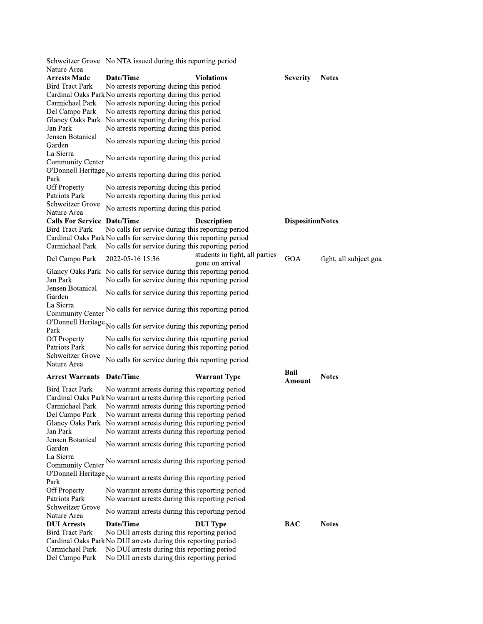|                                        | Schweitzer Grove No NTA issued during this reporting period                                         |                                |                         |                        |
|----------------------------------------|-----------------------------------------------------------------------------------------------------|--------------------------------|-------------------------|------------------------|
| Nature Area                            |                                                                                                     |                                |                         |                        |
| <b>Arrests Made</b>                    | Date/Time                                                                                           | <b>Violations</b>              | <b>Severity</b>         | <b>Notes</b>           |
| <b>Bird Tract Park</b>                 | No arrests reporting during this period                                                             |                                |                         |                        |
|                                        | Cardinal Oaks Park No arrests reporting during this period                                          |                                |                         |                        |
| Carmichael Park                        | No arrests reporting during this period                                                             |                                |                         |                        |
| Del Campo Park                         | No arrests reporting during this period<br>Glancy Oaks Park No arrests reporting during this period |                                |                         |                        |
| Jan Park                               | No arrests reporting during this period                                                             |                                |                         |                        |
| Jensen Botanical                       |                                                                                                     |                                |                         |                        |
| Garden                                 | No arrests reporting during this period                                                             |                                |                         |                        |
| La Sierra                              |                                                                                                     |                                |                         |                        |
| Community Center                       | No arrests reporting during this period                                                             |                                |                         |                        |
| O'Donnell Heritage                     |                                                                                                     |                                |                         |                        |
| Park                                   | No arrests reporting during this period                                                             |                                |                         |                        |
| Off Property                           | No arrests reporting during this period                                                             |                                |                         |                        |
| Patriots Park                          | No arrests reporting during this period                                                             |                                |                         |                        |
| Schweitzer Grove                       | No arrests reporting during this period                                                             |                                |                         |                        |
| Nature Area                            |                                                                                                     |                                |                         |                        |
| <b>Calls For Service Date/Time</b>     |                                                                                                     | <b>Description</b>             | <b>DispositionNotes</b> |                        |
| <b>Bird Tract Park</b>                 | No calls for service during this reporting period                                                   |                                |                         |                        |
| Carmichael Park                        | Cardinal Oaks Park No calls for service during this reporting period                                |                                |                         |                        |
|                                        | No calls for service during this reporting period                                                   | students in fight, all parties |                         |                        |
| Del Campo Park                         | 2022-05-16 15:36                                                                                    | gone on arrival                | GOA                     | fight, all subject goa |
|                                        | Glancy Oaks Park No calls for service during this reporting period                                  |                                |                         |                        |
| Jan Park                               | No calls for service during this reporting period                                                   |                                |                         |                        |
| Jensen Botanical                       |                                                                                                     |                                |                         |                        |
| Garden                                 | No calls for service during this reporting period                                                   |                                |                         |                        |
| La Sierra                              |                                                                                                     |                                |                         |                        |
| <b>Community Center</b>                | No calls for service during this reporting period                                                   |                                |                         |                        |
| O'Donnell Heritage                     | No calls for service during this reporting period                                                   |                                |                         |                        |
| Park                                   |                                                                                                     |                                |                         |                        |
| Off Property                           | No calls for service during this reporting period                                                   |                                |                         |                        |
| Patriots Park                          | No calls for service during this reporting period                                                   |                                |                         |                        |
| Schweitzer Grove                       | No calls for service during this reporting period                                                   |                                |                         |                        |
| Nature Area                            |                                                                                                     |                                |                         |                        |
| <b>Arrest Warrants Date/Time</b>       |                                                                                                     | <b>Warrant Type</b>            | Bail<br>Amount          | <b>Notes</b>           |
| <b>Bird Tract Park</b>                 | No warrant arrests during this reporting period                                                     |                                |                         |                        |
|                                        | Cardinal Oaks Park No warrant arrests during this reporting period                                  |                                |                         |                        |
| Carmichael Park                        | No warrant arrests during this reporting period                                                     |                                |                         |                        |
| Del Campo Park                         | No warrant arrests during this reporting period                                                     |                                |                         |                        |
|                                        | Glancy Oaks Park No warrant arrests during this reporting period                                    |                                |                         |                        |
| Jan Park                               | No warrant arrests during this reporting period                                                     |                                |                         |                        |
| Jensen Botanical                       | No warrant arrests during this reporting period                                                     |                                |                         |                        |
| Garden                                 |                                                                                                     |                                |                         |                        |
| La Sierra                              | No warrant arrests during this reporting period                                                     |                                |                         |                        |
| Community Center<br>O'Donnell Heritage |                                                                                                     |                                |                         |                        |
| Park                                   | No warrant arrests during this reporting period                                                     |                                |                         |                        |
| Off Property                           | No warrant arrests during this reporting period                                                     |                                |                         |                        |
| Patriots Park                          | No warrant arrests during this reporting period                                                     |                                |                         |                        |
| Schweitzer Grove                       |                                                                                                     |                                |                         |                        |
| Nature Area                            | No warrant arrests during this reporting period                                                     |                                |                         |                        |
| <b>DUI Arrests</b>                     | Date/Time                                                                                           | <b>DUI</b> Type                | BAC                     | <b>Notes</b>           |
| <b>Bird Tract Park</b>                 | No DUI arrests during this reporting period                                                         |                                |                         |                        |
|                                        | Cardinal Oaks Park No DUI arrests during this reporting period                                      |                                |                         |                        |
| Carmichael Park                        | No DUI arrests during this reporting period                                                         |                                |                         |                        |
| Del Campo Park                         | No DUI arrests during this reporting period                                                         |                                |                         |                        |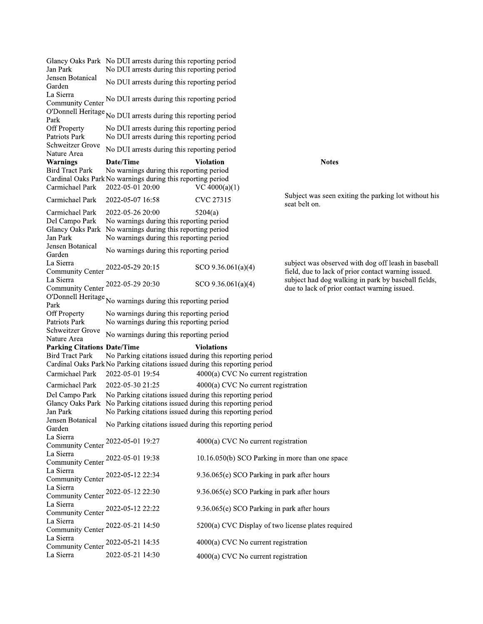Glancy Oaks Park No DUI arrests during this reporting period Jan Park No DUI arrests during this reporting period Jensen Botanical No DUI arrests during this reporting period Garden La Sierra Community Center No DUI arrests during this reporting period O'Donnell Heritage No DUI arrests during this reporting period No DUI arrests during this reporting period **Off Property** Patriots Park No DUI arrests during this reporting period **Schweitzer Grove** No DUI arrests during this reporting period Nature Area **Warnings** Date/Time **Violation Notes Bird Tract Park** No warnings during this reporting period Cardinal Oaks Park No warnings during this reporting period Carmichael Park 2022-05-01 20:00 VC  $4000(a)(1)$ Subject was seen exiting the parking lot without his Carmichael Park 2022-05-07 16:58 CVC 27315 seat belt on. Carmichael Park 2022-05-26 20:00  $5204(a)$ No warnings during this reporting period Del Campo Park Glancy Oaks Park No warnings during this reporting period Jan Park No warnings during this reporting period Jensen Botanical No warnings during this reporting period Garden La Sierra subject was observed with dog off leash in baseball Community Center 2022-05-29 20:15  $SCO$  9.36.061(a)(4) field, due to lack of prior contact warning issued. La Sierra subject had dog walking in park by baseball fields, 2022-05-29 20:30 SCO  $9.36.061(a)(4)$ **Community Center** due to lack of prior contact warning issued. O'Donnell Heritage No warnings during this reporting period **Off Property** No warnings during this reporting period **Patriots Park** No warnings during this reporting period Schweitzer Grove No warnings during this reporting period Nature Area **Parking Citations Date/Time Violations Bird Tract Park** No Parking citations issued during this reporting period Cardinal Oaks Park No Parking citations issued during this reporting period 2022-05-01 19:54 4000(a) CVC No current registration Carmichael Park Carmichael Park 2022-05-30 21:25 4000(a) CVC No current registration Del Campo Park No Parking citations issued during this reporting period **Glancy Oaks Park** No Parking citations issued during this reporting period Jan Park No Parking citations issued during this reporting period Jensen Botanical No Parking citations issued during this reporting period Garden La Sierra Community Center 2022-05-01 19:27 4000(a) CVC No current registration La Sierra Community Center 2022-05-01 19:38 10.16.050(b) SCO Parking in more than one space La Sierra Community Center 2022-05-12 22:34 9.36.065(e) SCO Parking in park after hours La Sierra Community Center 2022-05-12 22:30 9.36.065(e) SCO Parking in park after hours La Sierra Community Center 2022-05-12 22:22 9.36.065(e) SCO Parking in park after hours La Sierra Community Center 2022-05-21 14:50 5200(a) CVC Display of two license plates required La Sierra Community Center 2022-05-21 14:35 4000(a) CVC No current registration 2022-05-21 14:30 La Sierra 4000(a) CVC No current registration